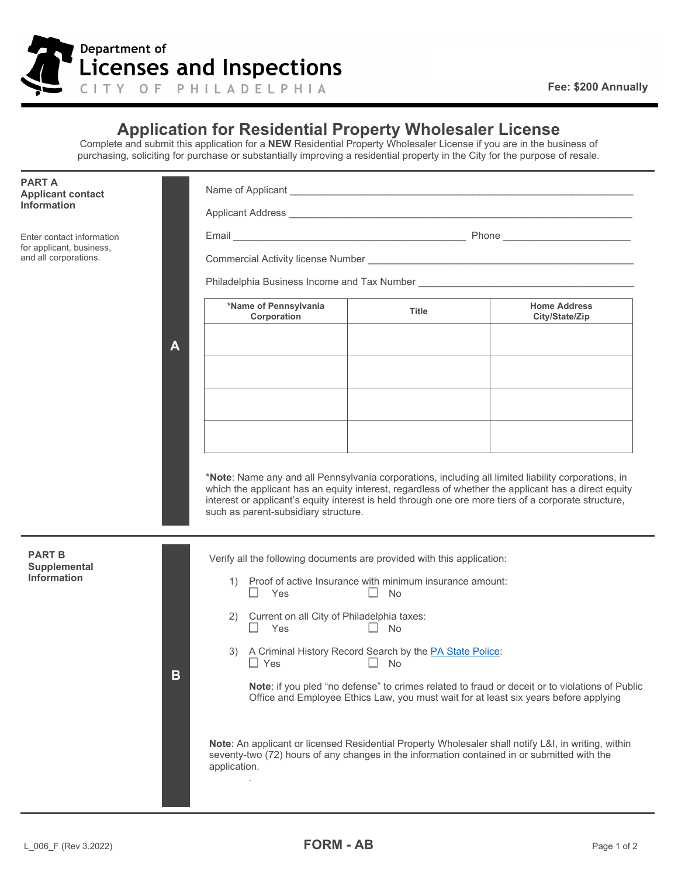

**A**

## **Application for Residential Property Wholesaler License**

Complete and submit this application for a **NEW** Residential Property Wholesaler License if you are in the business of purchasing, soliciting for purchase or substantially improving a residential property in the City for the purpose of resale.

**PART A Applicant contact Information**

Enter contact information for applicant, business, and all corporations.

Name of Applicant \_\_\_\_\_\_\_\_\_\_\_\_\_\_\_\_\_\_\_\_\_\_\_\_\_\_\_\_\_\_\_\_\_\_\_\_\_\_\_\_\_\_\_\_\_\_\_\_\_\_\_\_\_\_\_\_\_\_\_\_\_\_

Applicant Address \_\_\_\_\_\_\_\_\_\_\_\_\_\_\_\_\_\_\_\_\_\_\_\_\_\_\_\_\_\_\_\_\_\_\_\_\_\_\_\_\_\_\_\_\_\_\_\_\_\_\_\_\_\_\_\_\_\_\_\_\_\_

Email \_\_\_\_\_\_\_\_\_\_\_\_\_\_\_\_\_\_\_\_\_\_\_\_\_\_\_\_\_\_\_\_\_\_\_\_\_\_\_\_\_\_ Phone \_\_\_\_\_\_\_\_\_\_\_\_\_\_\_\_\_\_\_\_\_\_\_

Commercial Activity license Number \_\_\_\_\_\_\_\_\_\_\_\_\_\_\_\_\_\_\_\_\_\_\_\_\_\_\_\_\_\_\_\_\_\_\_\_\_\_\_\_\_\_\_\_\_\_\_\_

Philadelphia Business Income and Tax Number \_\_\_\_\_\_\_\_\_\_\_\_\_\_\_\_\_\_\_\_\_\_\_\_\_\_\_\_\_\_\_\_\_\_\_\_\_\_\_

| *Name of Pennsylvania<br>Corporation | <b>Title</b> | <b>Home Address</b><br>City/State/Zip |
|--------------------------------------|--------------|---------------------------------------|
|                                      |              |                                       |
|                                      |              |                                       |
|                                      |              |                                       |
|                                      |              |                                       |
|                                      |              |                                       |
|                                      |              |                                       |

\***Note**: Name any and all Pennsylvania corporations, including all limited liability corporations, in which the applicant has an equity interest, regardless of whether the applicant has a direct equity interest or applicant's equity interest is held through one ore more tiers of a corporate structure, such as parent-subsidiary structure.

| <b>PART B</b><br>Supplemental<br><b>Information</b><br>B |  | Verify all the following documents are provided with this application:<br>Proof of active Insurance with minimum insurance amount:<br>Yes<br><b>No</b>                                                                    |
|----------------------------------------------------------|--|---------------------------------------------------------------------------------------------------------------------------------------------------------------------------------------------------------------------------|
|                                                          |  | Current on all City of Philadelphia taxes:<br>2)<br>Yes<br><b>No</b>                                                                                                                                                      |
|                                                          |  | A Criminal History Record Search by the PA State Police:<br>3)<br>$\Box$ Yes<br><b>No</b>                                                                                                                                 |
|                                                          |  | <b>Note:</b> if you pled "no defense" to crimes related to fraud or deceit or to violations of Public<br>Office and Employee Ethics Law, you must wait for at least six years before applying                             |
|                                                          |  | <b>Note:</b> An applicant or licensed Residential Property Wholesaler shall notify L&I, in writing, within<br>seventy-two (72) hours of any changes in the information contained in or submitted with the<br>application. |